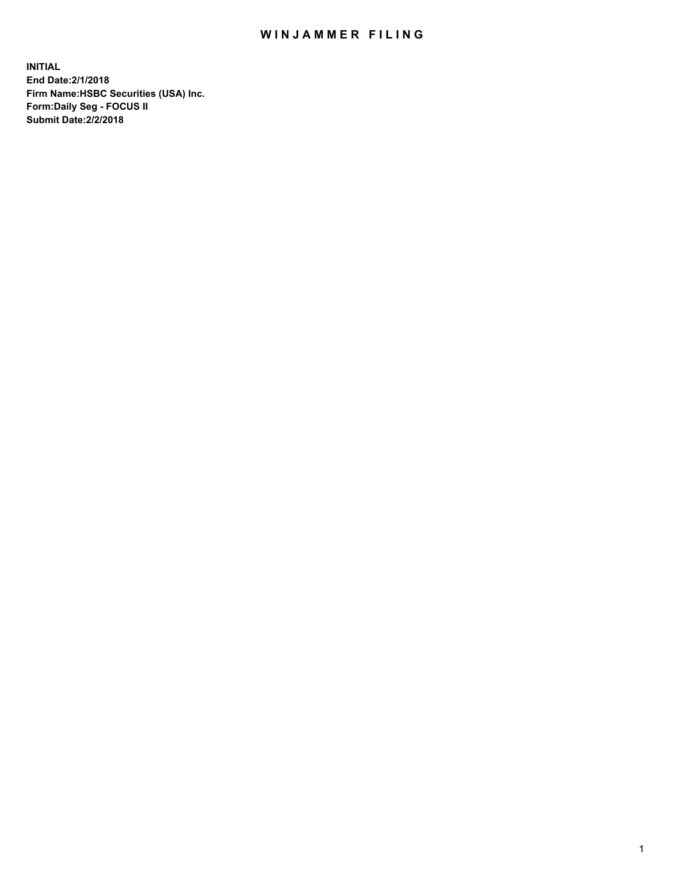## WIN JAMMER FILING

**INITIAL End Date:2/1/2018 Firm Name:HSBC Securities (USA) Inc. Form:Daily Seg - FOCUS II Submit Date:2/2/2018**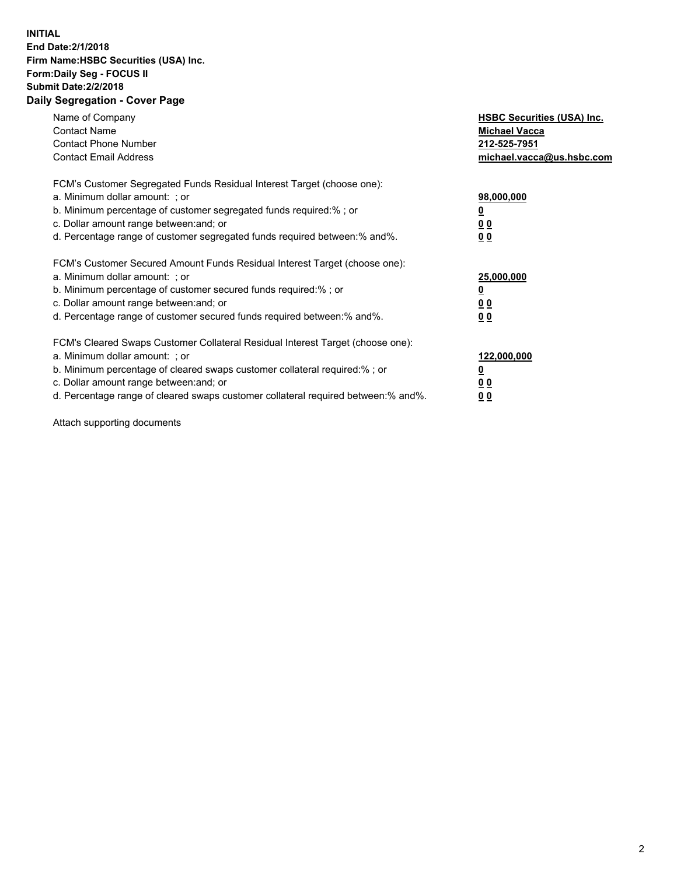## **INITIAL End Date:2/1/2018 Firm Name:HSBC Securities (USA) Inc. Form:Daily Seg - FOCUS II Submit Date:2/2/2018 Daily Segregation - Cover Page**

| Name of Company<br><b>Contact Name</b><br><b>Contact Phone Number</b><br><b>Contact Email Address</b>                                                                                                                                                                                                                         | <b>HSBC Securities (USA) Inc.</b><br><b>Michael Vacca</b><br>212-525-7951<br>michael.vacca@us.hsbc.com |
|-------------------------------------------------------------------------------------------------------------------------------------------------------------------------------------------------------------------------------------------------------------------------------------------------------------------------------|--------------------------------------------------------------------------------------------------------|
| FCM's Customer Segregated Funds Residual Interest Target (choose one):<br>a. Minimum dollar amount: ; or<br>b. Minimum percentage of customer segregated funds required:%; or<br>c. Dollar amount range between: and; or<br>d. Percentage range of customer segregated funds required between: % and %.                       | 98,000,000<br><u>0</u><br><u>00</u><br>00                                                              |
| FCM's Customer Secured Amount Funds Residual Interest Target (choose one):<br>a. Minimum dollar amount: ; or<br>b. Minimum percentage of customer secured funds required:%; or<br>c. Dollar amount range between: and; or<br>d. Percentage range of customer secured funds required between: % and %.                         | 25,000,000<br><u>0</u><br><u>00</u><br>00                                                              |
| FCM's Cleared Swaps Customer Collateral Residual Interest Target (choose one):<br>a. Minimum dollar amount: ; or<br>b. Minimum percentage of cleared swaps customer collateral required:%; or<br>c. Dollar amount range between: and; or<br>d. Percentage range of cleared swaps customer collateral required between:% and%. | 122,000,000<br><u>0</u><br><u>00</u><br><u>00</u>                                                      |

Attach supporting documents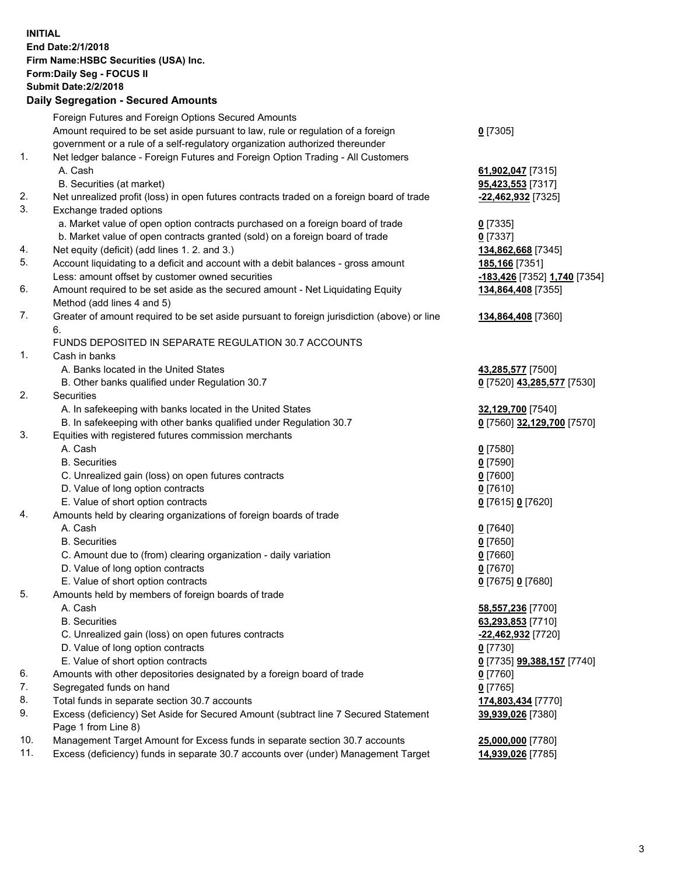**INITIAL End Date:2/1/2018 Firm Name:HSBC Securities (USA) Inc. Form:Daily Seg - FOCUS II Submit Date:2/2/2018 Daily Segregation - Secured Amounts** Foreign Futures and Foreign Options Secured Amounts Amount required to be set aside pursuant to law, rule or regulation of a foreign government or a rule of a self-regulatory organization authorized thereunder **0** [7305] 1. Net ledger balance - Foreign Futures and Foreign Option Trading - All Customers A. Cash **61,902,047** [7315] B. Securities (at market) **95,423,553** [7317] 2. Net unrealized profit (loss) in open futures contracts traded on a foreign board of trade **-22,462,932** [7325] 3. Exchange traded options a. Market value of open option contracts purchased on a foreign board of trade **0** [7335] b. Market value of open contracts granted (sold) on a foreign board of trade **0** [7337] 4. Net equity (deficit) (add lines 1. 2. and 3.) **134,862,668** [7345] 5. Account liquidating to a deficit and account with a debit balances - gross amount **185,166** [7351] Less: amount offset by customer owned securities **-183,426** [7352] **1,740** [7354] 6. Amount required to be set aside as the secured amount - Net Liquidating Equity Method (add lines 4 and 5) **134,864,408** [7355] 7. Greater of amount required to be set aside pursuant to foreign jurisdiction (above) or line 6. **134,864,408** [7360] FUNDS DEPOSITED IN SEPARATE REGULATION 30.7 ACCOUNTS 1. Cash in banks A. Banks located in the United States **43,285,577** [7500] B. Other banks qualified under Regulation 30.7 **0** [7520] **43,285,577** [7530] 2. Securities A. In safekeeping with banks located in the United States **32,129,700** [7540] B. In safekeeping with other banks qualified under Regulation 30.7 **0** [7560] **32,129,700** [7570] 3. Equities with registered futures commission merchants A. Cash **0** [7580] B. Securities **0** [7590] C. Unrealized gain (loss) on open futures contracts **0** [7600] D. Value of long option contracts **0** [7610] E. Value of short option contracts **0** [7615] **0** [7620] 4. Amounts held by clearing organizations of foreign boards of trade A. Cash **0** [7640] B. Securities **0** [7650] C. Amount due to (from) clearing organization - daily variation **0** [7660] D. Value of long option contracts **0** [7670] E. Value of short option contracts **0** [7675] **0** [7680] 5. Amounts held by members of foreign boards of trade A. Cash **58,557,236** [7700] B. Securities **63,293,853** [7710] C. Unrealized gain (loss) on open futures contracts **-22,462,932** [7720] D. Value of long option contracts **0** [7730] E. Value of short option contracts **0** [7735] **99,388,157** [7740] 6. Amounts with other depositories designated by a foreign board of trade **0** [7760] 7. Segregated funds on hand **0** [7765] 8. Total funds in separate section 30.7 accounts **174,803,434** [7770] 9. Excess (deficiency) Set Aside for Secured Amount (subtract line 7 Secured Statement Page 1 from Line 8) **39,939,026** [7380] 10. Management Target Amount for Excess funds in separate section 30.7 accounts **25,000,000** [7780]

11. Excess (deficiency) funds in separate 30.7 accounts over (under) Management Target **14,939,026** [7785]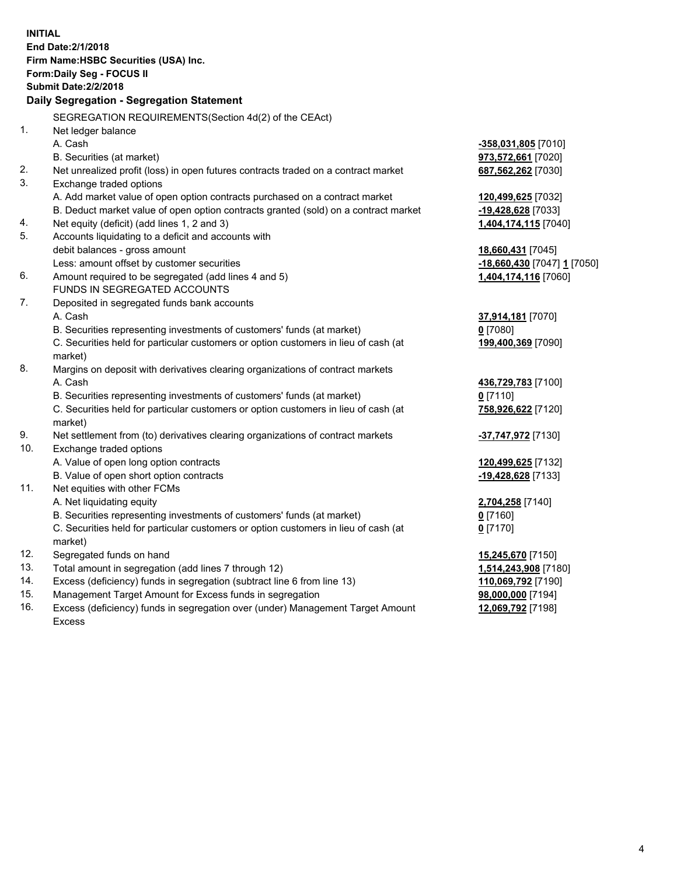| <b>INITIAL</b> | End Date: 2/1/2018<br>Firm Name: HSBC Securities (USA) Inc.<br>Form: Daily Seg - FOCUS II<br><b>Submit Date: 2/2/2018</b><br>Daily Segregation - Segregation Statement |                             |
|----------------|------------------------------------------------------------------------------------------------------------------------------------------------------------------------|-----------------------------|
|                | SEGREGATION REQUIREMENTS(Section 4d(2) of the CEAct)                                                                                                                   |                             |
| 1.             | Net ledger balance                                                                                                                                                     |                             |
|                | A. Cash                                                                                                                                                                | -358,031,805 [7010]         |
|                | B. Securities (at market)                                                                                                                                              | 973,572,661 [7020]          |
| 2.             | Net unrealized profit (loss) in open futures contracts traded on a contract market                                                                                     | 687,562,262 [7030]          |
| 3.             | Exchange traded options                                                                                                                                                |                             |
|                | A. Add market value of open option contracts purchased on a contract market                                                                                            | 120,499,625 [7032]          |
|                | B. Deduct market value of open option contracts granted (sold) on a contract market                                                                                    | <u>-19,428,628</u> [7033]   |
| 4.             | Net equity (deficit) (add lines 1, 2 and 3)                                                                                                                            | 1,404,174,115 [7040]        |
| 5.             | Accounts liquidating to a deficit and accounts with                                                                                                                    |                             |
|                | debit balances - gross amount                                                                                                                                          | 18,660,431 [7045]           |
|                | Less: amount offset by customer securities                                                                                                                             | -18,660,430 [7047] 1 [7050] |
| 6.             | Amount required to be segregated (add lines 4 and 5)                                                                                                                   | 1,404,174,116 [7060]        |
|                | FUNDS IN SEGREGATED ACCOUNTS                                                                                                                                           |                             |
| 7.             | Deposited in segregated funds bank accounts                                                                                                                            |                             |
|                | A. Cash                                                                                                                                                                | 37,914,181 [7070]           |
|                | B. Securities representing investments of customers' funds (at market)                                                                                                 | $0$ [7080]                  |
|                | C. Securities held for particular customers or option customers in lieu of cash (at                                                                                    | 199,400,369 [7090]          |
|                | market)                                                                                                                                                                |                             |
| 8.             | Margins on deposit with derivatives clearing organizations of contract markets                                                                                         |                             |
|                | A. Cash                                                                                                                                                                | 436,729,783 [7100]          |
|                | B. Securities representing investments of customers' funds (at market)                                                                                                 | $0$ [7110]                  |
|                | C. Securities held for particular customers or option customers in lieu of cash (at<br>market)                                                                         | 758,926,622 [7120]          |
| 9.             | Net settlement from (to) derivatives clearing organizations of contract markets                                                                                        | -37,747,972 [7130]          |
| 10.            | Exchange traded options                                                                                                                                                |                             |
|                | A. Value of open long option contracts                                                                                                                                 | 120,499,625 [7132]          |
|                | B. Value of open short option contracts                                                                                                                                | -19,428,628 [7133]          |
| 11.            | Net equities with other FCMs                                                                                                                                           |                             |
|                | A. Net liquidating equity                                                                                                                                              | 2,704,258 [7140]            |
|                | B. Securities representing investments of customers' funds (at market)                                                                                                 | 0 [7160]                    |
|                | C. Securities held for particular customers or option customers in lieu of cash (at<br>market)                                                                         | $0$ [7170]                  |
| 12.            | Segregated funds on hand                                                                                                                                               | 15,245,670 [7150]           |
| 13.            | Total amount in segregation (add lines 7 through 12)                                                                                                                   | 1,514,243,908 [7180]        |
| 14.            | Excess (deficiency) funds in segregation (subtract line 6 from line 13)                                                                                                | 110,069,792 [7190]          |
| 15.            | Management Target Amount for Excess funds in segregation                                                                                                               | 98,000,000 [7194]           |
| 16.            | Excess (deficiency) funds in segregation over (under) Management Target Amount                                                                                         | 12,069,792 [7198]           |

16. Excess (deficiency) funds in segregation over (under) Management Target Amount Excess